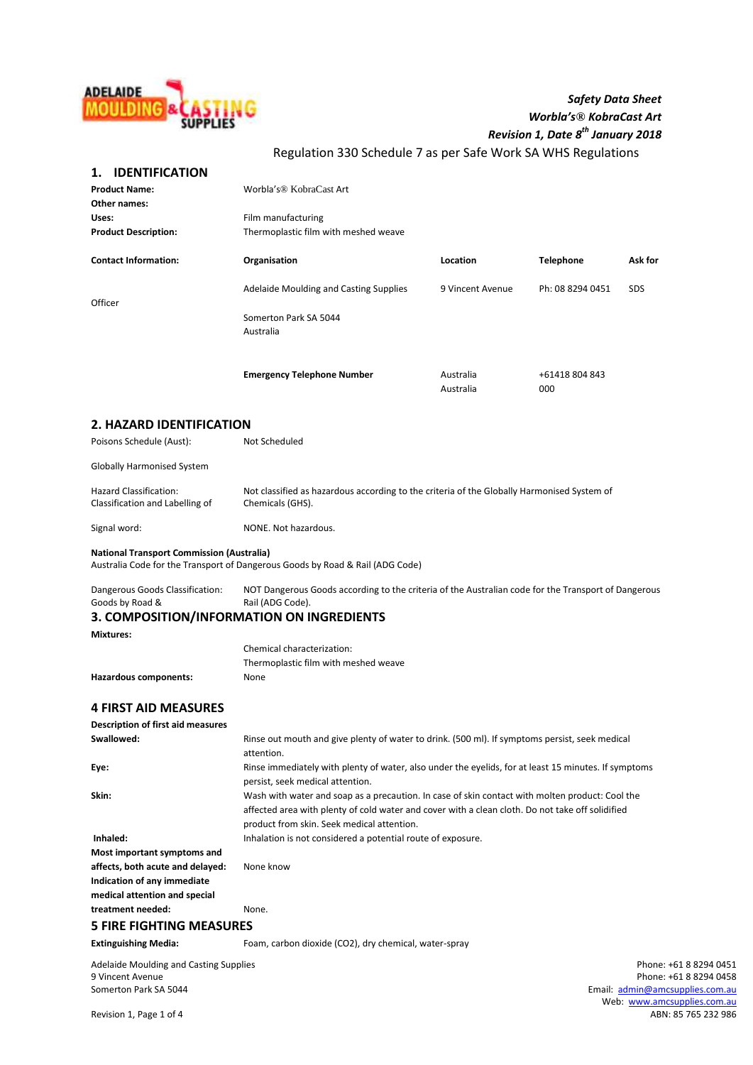

# *Safety Data Sheet Worbla's® KobraCast Art Revision 1, Date 8 th January 2018*

Regulation 330 Schedule 7 as per Safe Work SA WHS Regulations

# **1. IDENTIFICATION**

| <b>Product Name:</b><br>Other names:                                                                                              | Worbla's <sup>®</sup> KobraCast Art                                                                                     |                        |                       |            |  |
|-----------------------------------------------------------------------------------------------------------------------------------|-------------------------------------------------------------------------------------------------------------------------|------------------------|-----------------------|------------|--|
| Uses:                                                                                                                             | Film manufacturing                                                                                                      |                        |                       |            |  |
| <b>Product Description:</b>                                                                                                       | Thermoplastic film with meshed weave                                                                                    |                        |                       |            |  |
|                                                                                                                                   |                                                                                                                         |                        |                       |            |  |
| <b>Contact Information:</b>                                                                                                       | Organisation                                                                                                            | Location               | <b>Telephone</b>      | Ask for    |  |
| Officer                                                                                                                           | Adelaide Moulding and Casting Supplies                                                                                  | 9 Vincent Avenue       | Ph: 08 8294 0451      | <b>SDS</b> |  |
|                                                                                                                                   | Somerton Park SA 5044<br>Australia                                                                                      |                        |                       |            |  |
|                                                                                                                                   | <b>Emergency Telephone Number</b>                                                                                       | Australia<br>Australia | +61418 804 843<br>000 |            |  |
| <b>2. HAZARD IDENTIFICATION</b>                                                                                                   |                                                                                                                         |                        |                       |            |  |
| Poisons Schedule (Aust):                                                                                                          | Not Scheduled                                                                                                           |                        |                       |            |  |
| <b>Globally Harmonised System</b>                                                                                                 |                                                                                                                         |                        |                       |            |  |
| Hazard Classification:<br>Classification and Labelling of                                                                         | Not classified as hazardous according to the criteria of the Globally Harmonised System of<br>Chemicals (GHS).          |                        |                       |            |  |
| Signal word:                                                                                                                      | NONE. Not hazardous.                                                                                                    |                        |                       |            |  |
| <b>National Transport Commission (Australia)</b><br>Australia Code for the Transport of Dangerous Goods by Road & Rail (ADG Code) |                                                                                                                         |                        |                       |            |  |
| Dangerous Goods Classification:<br>Goods by Road &                                                                                | NOT Dangerous Goods according to the criteria of the Australian code for the Transport of Dangerous<br>Rail (ADG Code). |                        |                       |            |  |
| 3. COMPOSITION/INFORMATION ON INGREDIENTS<br><b>Mixtures:</b>                                                                     |                                                                                                                         |                        |                       |            |  |
|                                                                                                                                   | Chemical characterization:                                                                                              |                        |                       |            |  |
|                                                                                                                                   | Thermoplastic film with meshed weave                                                                                    |                        |                       |            |  |
| <b>Hazardous components:</b>                                                                                                      | None                                                                                                                    |                        |                       |            |  |
| <b>4 FIRST AID MEASURES</b>                                                                                                       |                                                                                                                         |                        |                       |            |  |
| <b>Description of first aid measures</b>                                                                                          |                                                                                                                         |                        |                       |            |  |
| Swallowed:                                                                                                                        | Rinse out mouth and give plenty of water to drink. (500 ml). If symptoms persist, seek medical                          |                        |                       |            |  |
|                                                                                                                                   | attention.                                                                                                              |                        |                       |            |  |
| Eye:                                                                                                                              | Rinse immediately with plenty of water, also under the eyelids, for at least 15 minutes. If symptoms                    |                        |                       |            |  |
|                                                                                                                                   | persist, seek medical attention.                                                                                        |                        |                       |            |  |
| Skin:                                                                                                                             | Wash with water and soap as a precaution. In case of skin contact with molten product: Cool the                         |                        |                       |            |  |
|                                                                                                                                   | affected area with plenty of cold water and cover with a clean cloth. Do not take off solidified                        |                        |                       |            |  |
|                                                                                                                                   | product from skin. Seek medical attention.                                                                              |                        |                       |            |  |
| Inhaled:                                                                                                                          | Inhalation is not considered a potential route of exposure.                                                             |                        |                       |            |  |
| Most important symptoms and                                                                                                       |                                                                                                                         |                        |                       |            |  |
| affects, both acute and delayed:                                                                                                  | None know                                                                                                               |                        |                       |            |  |
| Indication of any immediate                                                                                                       |                                                                                                                         |                        |                       |            |  |
| medical attention and special                                                                                                     |                                                                                                                         |                        |                       |            |  |
| treatment needed:                                                                                                                 | None.                                                                                                                   |                        |                       |            |  |

# **5 FIRE FIGHTING MEASURES**

**Extinguishing Media:** Foam, carbon dioxide (CO2), dry chemical, water-spray

Adelaide Moulding and Casting Supplies and Casting Supplies and Casting Supplies Adelaide Moulding and Casting Supplies and Casting Supplies and Casting Supplies and Casting Supplies and Casting Supplies and Casting Suppli 9 Vincent Avenue Phone: +61 8 8294 0458<br>
9 Somerton Park SA 5044<br>
9 Somerton Park SA 5044<br>
9 Somerton Park SA 5044

Email: [admin@amcsupplies.com.au](mailto:admin@amcsupplies.com.au) Web: [www.amcsupplies.com.au](http://www.amcsupplies.com.au/)<br>ABN: 85 765 232 986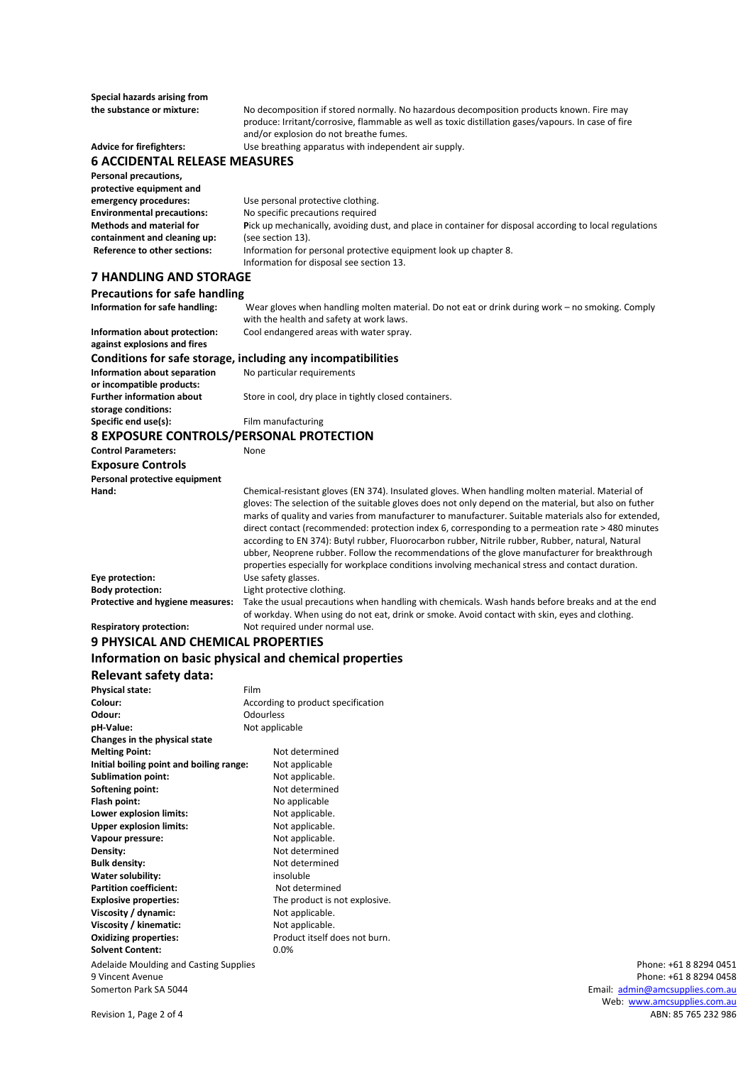**Special hazards arising from**

**the substance or mixture:** No decomposition if stored normally. No hazardous decomposition products known. Fire may produce: Irritant/corrosive, flammable as well as toxic distillation gases/vapours. In case of fire and/or explosion do not breathe fumes.

**Advice for firefighters:** Use breathing apparatus with independent air supply.

# **6 ACCIDENTAL RELEASE MEASURES**

**Personal precautions, protective equipment and emergency procedures:** Use personal protective clothing.<br> **Environmental precautions:** No specific precautions required **Environmental precautions:** No specific precautions required **Methods and material for P**ick up mechanically, avoiding dust, and place in container for disposal according to local regulations **containment and cleaning up:** (see section 13). **Reference to other sections:** Information for personal protective equipment look up chapter 8. Information for disposal see section 13.

# **7 HANDLING AND STORAGE**

**Precautions for safe handling Information for safe handling:** Wear gloves when handling molten material. Do not eat or drink during work – no smoking. Comply with the health and safety at work laws. **Information about protection:** Cool endangered areas with water spray. **against explosions and fires Conditions for safe storage, including any incompatibilities Information about separation** No particular requirements **or incompatible products:** Further information about Store in cool, dry place in tightly closed containers. **storage conditions: Specific end use(s):** Film manufacturing **8 EXPOSURE CONTROLS/PERSONAL PROTECTION Control Parameters:** None **Exposure Controls Personal protective equipment Hand:** Chemical-resistant gloves (EN 374). Insulated gloves. When handling molten material. Material of gloves: The selection of the suitable gloves does not only depend on the material, but also on futher marks of quality and varies from manufacturer to manufacturer. Suitable materials also for extended, direct contact (recommended: protection index 6, corresponding to a permeation rate > 480 minutes according to EN 374): Butyl rubber, Fluorocarbon rubber, Nitrile rubber, Rubber, natural, Natural ubber, Neoprene rubber. Follow the recommendations of the glove manufacturer for breakthrough properties especially for workplace conditions involving mechanical stress and contact duration. **Eye protection:** Use safety glasses.<br> **Body protection:** Light protective close **Light protective clothing. Protective and hygiene measures:** Take the usual precautions when handling with chemicals. Wash hands before breaks and at the end of workday. When using do not eat, drink or smoke. Avoid contact with skin, eyes and clothing.

# **Respiratory protection:** Not required under normal use.

# **9 PHYSICAL AND CHEMICAL PROPERTIES**

# **Information on basic physical and chemical properties**

# **Relevant safety data:**

| <b>Physical state:</b>                        | Film                               |                                 |
|-----------------------------------------------|------------------------------------|---------------------------------|
| Colour:                                       | According to product specification |                                 |
| Odour:                                        | <b>Odourless</b>                   |                                 |
| pH-Value:                                     | Not applicable                     |                                 |
| Changes in the physical state                 |                                    |                                 |
| <b>Melting Point:</b>                         | Not determined                     |                                 |
| Initial boiling point and boiling range:      | Not applicable                     |                                 |
| <b>Sublimation point:</b>                     | Not applicable.                    |                                 |
| Softening point:                              | Not determined                     |                                 |
| Flash point:                                  | No applicable                      |                                 |
| Lower explosion limits:                       | Not applicable.                    |                                 |
| <b>Upper explosion limits:</b>                | Not applicable.                    |                                 |
| Vapour pressure:                              | Not applicable.                    |                                 |
| Density:                                      | Not determined                     |                                 |
| Bulk density:                                 | Not determined                     |                                 |
| Water solubility:                             | insoluble                          |                                 |
| <b>Partition coefficient:</b>                 | Not determined                     |                                 |
| <b>Explosive properties:</b>                  | The product is not explosive.      |                                 |
| Viscosity / dynamic:                          | Not applicable.                    |                                 |
| Viscosity / kinematic:                        | Not applicable.                    |                                 |
| <b>Oxidizing properties:</b>                  | Product itself does not burn.      |                                 |
| <b>Solvent Content:</b>                       | 0.0%                               |                                 |
| <b>Adelaide Moulding and Casting Supplies</b> |                                    | Phone: +61 8 8294 0451          |
| 9 Vincent Avenue                              |                                    | Phone: +61 8 8294 0458          |
| Somerton Park SA 5044                         |                                    | Email: admin@amcsupplies.com.au |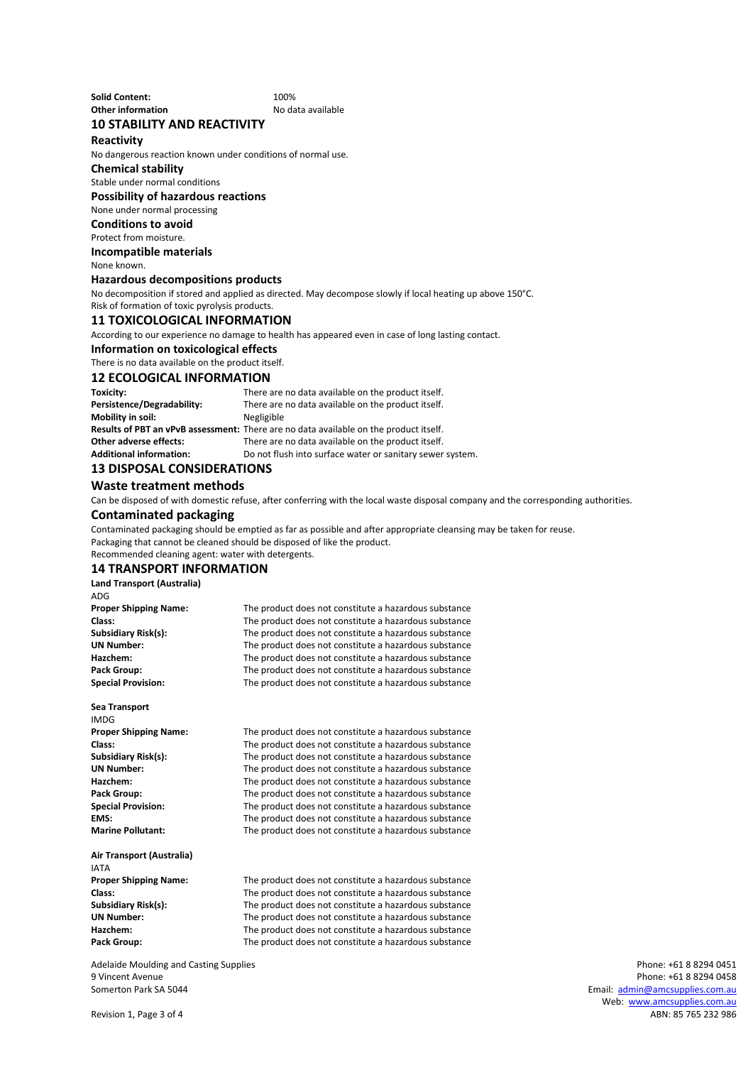**Solid Content:** 100% **Other information No data available** 

# **10 STABILITY AND REACTIVITY**

**Reactivity**

No dangerous reaction known under conditions of normal use.

### **Chemical stability**

Stable under normal conditions

#### **Possibility of hazardous reactions**

None under normal processing

#### **Conditions to avoid**

Protect from moisture.

#### **Incompatible materials**

None known.

#### **Hazardous decompositions products**

No decomposition if stored and applied as directed. May decompose slowly if local heating up above 150°C.

Risk of formation of toxic pyrolysis products.

#### **11 TOXICOLOGICAL INFORMATION**

According to our experience no damage to health has appeared even in case of long lasting contact.

#### **Information on toxicological effects**

There is no data available on the product itself.

#### **12 ECOLOGICAL INFORMATION**

| There are no data available on the product itself.                                    |
|---------------------------------------------------------------------------------------|
| There are no data available on the product itself.                                    |
| Negligible                                                                            |
| Results of PBT an vPvB assessment: There are no data available on the product itself. |
| There are no data available on the product itself.                                    |
| Do not flush into surface water or sanitary sewer system.                             |
|                                                                                       |

# **13 DISPOSAL CONSIDERATIONS**

**Waste treatment methods**

Can be disposed of with domestic refuse, after conferring with the local waste disposal company and the corresponding authorities.

### **Contaminated packaging**

Contaminated packaging should be emptied as far as possible and after appropriate cleansing may be taken for reuse. Packaging that cannot be cleaned should be disposed of like the product. Recommended cleaning agent: water with detergents.

#### **14 TRANSPORT INFORMATION**

**Land Transport (Australia)** ADG<br>Proper Shipping Name:

The product does not constitute a hazardous substance **Class:** The product does not constitute a hazardous substance<br>**Subsidiary Risk(s):** The product does not constitute a hazardous substance **Subsidiary Risk(s):** The product does not constitute a hazardous substance **UN Number:** The product does not constitute a hazardous substance<br> **Hazchem:** The product does not constitute a hazardous substance **Hazchem:** The product does not constitute a hazardous substance<br>**Pack Group:** The product does not constitute a hazardous substance **Pack Group:** The product does not constitute a hazardous substance<br>**Special Provision:** The product does not constitute a hazardous substance **Special Provision:** The product does not constitute a hazardous substance

#### **Sea Transport**

**IMDG**<br>**Proper Shipping Name:** 

The product does not constitute a hazardous substance **Class:** The product does not constitute a hazardous substance<br>**Subsidiary Risk(s):** The product does not constitute a hazardous substance **Subsidiary Risk(s):** The product does not constitute a hazardous substance<br>**IN Number:** The product does not constitute a hazardous substance **UN Number:** The product does not constitute a hazardous substance<br> **Hazchem:** The product does not constitute a hazardous substance The product does not constitute a hazardous substance Pack Group: The product does not constitute a hazardous substance **Special Provision:** The product does not constitute a hazardous substance **EMS:** The product does not constitute a hazardous substance **Marine Pollutant:** The product does not constitute a hazardous substance

**Air Transport (Australia)** IATA<br>Proper Shipping Name:

The product does not constitute a hazardous substance **Class:** The product does not constitute a hazardous substance<br> **Subsidiary Risk(s):** The product does not constitute a hazardous substance The product does not constitute a hazardous substance **UN Number:** The product does not constitute a hazardous substance **Hazchem:** The product does not constitute a hazardous substance Pack Group: The product does not constitute a hazardous substance

Adelaide Moulding and Casting Supplies **Phone: +61 8 8294 0451** Phone: +61 8 8294 0451 9 Vincent Avenue Phone: +61 8 8294 0458 Somerton Park SA 5044 Email: [admin@amcsupplies.com.au](mailto:admin@amcsupplies.com.au)